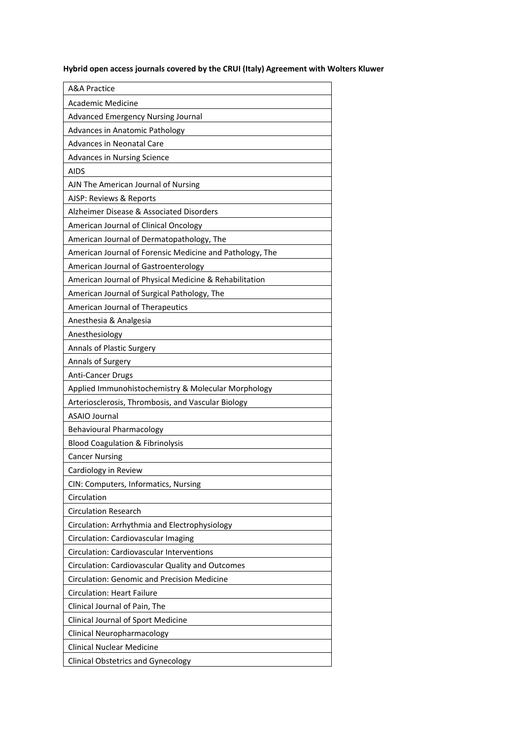**Hybrid open access journals covered by the CRUI (Italy) Agreement with Wolters Kluwer**

| <b>A&amp;A Practice</b>                                  |
|----------------------------------------------------------|
| <b>Academic Medicine</b>                                 |
| <b>Advanced Emergency Nursing Journal</b>                |
| Advances in Anatomic Pathology                           |
| <b>Advances in Neonatal Care</b>                         |
| <b>Advances in Nursing Science</b>                       |
| AIDS                                                     |
| AJN The American Journal of Nursing                      |
| AJSP: Reviews & Reports                                  |
| Alzheimer Disease & Associated Disorders                 |
| American Journal of Clinical Oncology                    |
| American Journal of Dermatopathology, The                |
| American Journal of Forensic Medicine and Pathology, The |
| American Journal of Gastroenterology                     |
| American Journal of Physical Medicine & Rehabilitation   |
| American Journal of Surgical Pathology, The              |
| American Journal of Therapeutics                         |
| Anesthesia & Analgesia                                   |
| Anesthesiology                                           |
| Annals of Plastic Surgery                                |
| Annals of Surgery                                        |
| Anti-Cancer Drugs                                        |
| Applied Immunohistochemistry & Molecular Morphology      |
| Arteriosclerosis, Thrombosis, and Vascular Biology       |
| <b>ASAIO Journal</b>                                     |
| <b>Behavioural Pharmacology</b>                          |
| <b>Blood Coagulation &amp; Fibrinolysis</b>              |
| <b>Cancer Nursing</b>                                    |
| Cardiology in Review                                     |
| CIN: Computers, Informatics, Nursing                     |
| Circulation                                              |
| <b>Circulation Research</b>                              |
| Circulation: Arrhythmia and Electrophysiology            |
| Circulation: Cardiovascular Imaging                      |
| Circulation: Cardiovascular Interventions                |
| Circulation: Cardiovascular Quality and Outcomes         |
| <b>Circulation: Genomic and Precision Medicine</b>       |
| <b>Circulation: Heart Failure</b>                        |
| Clinical Journal of Pain, The                            |
| Clinical Journal of Sport Medicine                       |
| Clinical Neuropharmacology                               |
| <b>Clinical Nuclear Medicine</b>                         |
| <b>Clinical Obstetrics and Gynecology</b>                |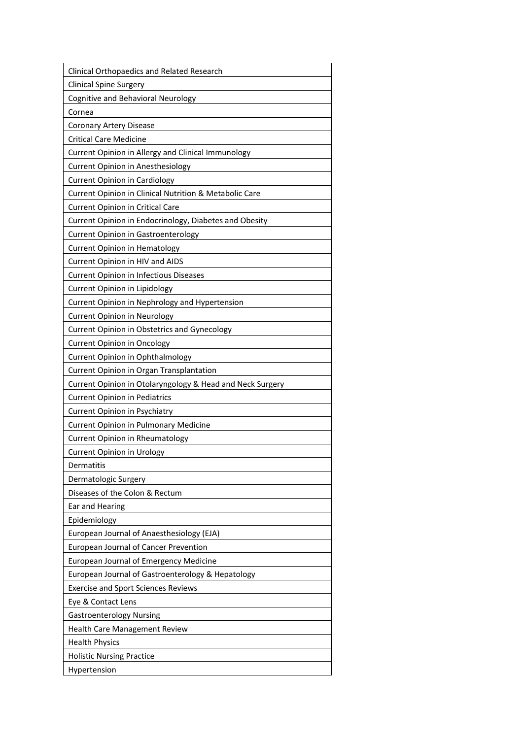| Clinical Orthopaedics and Related Research                |
|-----------------------------------------------------------|
| <b>Clinical Spine Surgery</b>                             |
| Cognitive and Behavioral Neurology                        |
| Cornea                                                    |
| Coronary Artery Disease                                   |
| <b>Critical Care Medicine</b>                             |
| Current Opinion in Allergy and Clinical Immunology        |
| Current Opinion in Anesthesiology                         |
| <b>Current Opinion in Cardiology</b>                      |
| Current Opinion in Clinical Nutrition & Metabolic Care    |
| Current Opinion in Critical Care                          |
| Current Opinion in Endocrinology, Diabetes and Obesity    |
| Current Opinion in Gastroenterology                       |
| <b>Current Opinion in Hematology</b>                      |
| Current Opinion in HIV and AIDS                           |
| <b>Current Opinion in Infectious Diseases</b>             |
| Current Opinion in Lipidology                             |
| Current Opinion in Nephrology and Hypertension            |
| <b>Current Opinion in Neurology</b>                       |
| Current Opinion in Obstetrics and Gynecology              |
| <b>Current Opinion in Oncology</b>                        |
| Current Opinion in Ophthalmology                          |
| Current Opinion in Organ Transplantation                  |
| Current Opinion in Otolaryngology & Head and Neck Surgery |
| <b>Current Opinion in Pediatrics</b>                      |
| Current Opinion in Psychiatry                             |
| Current Opinion in Pulmonary Medicine                     |
| Current Opinion in Rheumatology                           |
| <b>Current Opinion in Urology</b>                         |
| Dermatitis                                                |
| Dermatologic Surgery                                      |
| Diseases of the Colon & Rectum                            |
| Ear and Hearing                                           |
| Epidemiology                                              |
| European Journal of Anaesthesiology (EJA)                 |
| European Journal of Cancer Prevention                     |
| European Journal of Emergency Medicine                    |
| European Journal of Gastroenterology & Hepatology         |
| <b>Exercise and Sport Sciences Reviews</b>                |
| Eye & Contact Lens                                        |
| <b>Gastroenterology Nursing</b>                           |
| Health Care Management Review                             |
| <b>Health Physics</b>                                     |
| <b>Holistic Nursing Practice</b>                          |
| Hypertension                                              |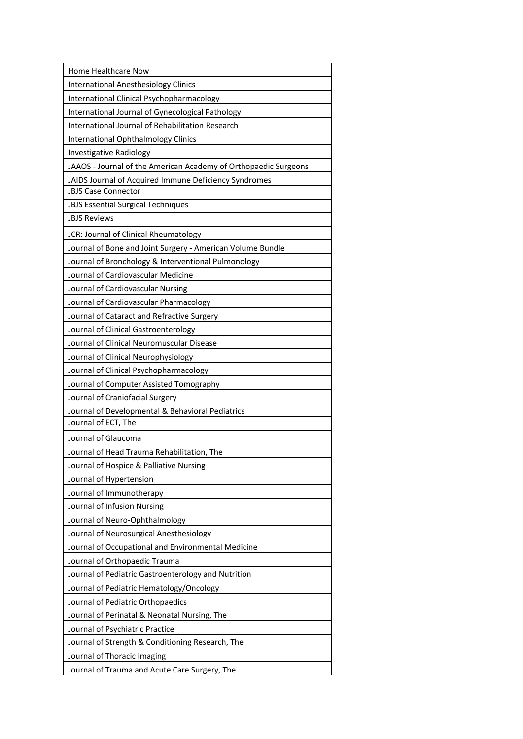| Home Healthcare Now                                             |
|-----------------------------------------------------------------|
| <b>International Anesthesiology Clinics</b>                     |
| International Clinical Psychopharmacology                       |
| International Journal of Gynecological Pathology                |
| International Journal of Rehabilitation Research                |
| International Ophthalmology Clinics                             |
| Investigative Radiology                                         |
| JAAOS - Journal of the American Academy of Orthopaedic Surgeons |
| JAIDS Journal of Acquired Immune Deficiency Syndromes           |
| <b>JBJS Case Connector</b>                                      |
| <b>JBJS Essential Surgical Techniques</b>                       |
| <b>JBJS Reviews</b>                                             |
| JCR: Journal of Clinical Rheumatology                           |
| Journal of Bone and Joint Surgery - American Volume Bundle      |
| Journal of Bronchology & Interventional Pulmonology             |
| Journal of Cardiovascular Medicine                              |
| Journal of Cardiovascular Nursing                               |
| Journal of Cardiovascular Pharmacology                          |
| Journal of Cataract and Refractive Surgery                      |
| Journal of Clinical Gastroenterology                            |
| Journal of Clinical Neuromuscular Disease                       |
| Journal of Clinical Neurophysiology                             |
| Journal of Clinical Psychopharmacology                          |
| Journal of Computer Assisted Tomography                         |
| Journal of Craniofacial Surgery                                 |
| Journal of Developmental & Behavioral Pediatrics                |
| Journal of ECT, The                                             |
| Journal of Glaucoma                                             |
| Journal of Head Trauma Rehabilitation, The                      |
| Journal of Hospice & Palliative Nursing                         |
| Journal of Hypertension                                         |
| Journal of Immunotherapy                                        |
| Journal of Infusion Nursing                                     |
| Journal of Neuro-Ophthalmology                                  |
| Journal of Neurosurgical Anesthesiology                         |
| Journal of Occupational and Environmental Medicine              |
| Journal of Orthopaedic Trauma                                   |
| Journal of Pediatric Gastroenterology and Nutrition             |
| Journal of Pediatric Hematology/Oncology                        |
| Journal of Pediatric Orthopaedics                               |
| Journal of Perinatal & Neonatal Nursing, The                    |
| Journal of Psychiatric Practice                                 |
| Journal of Strength & Conditioning Research, The                |
| Journal of Thoracic Imaging                                     |
| Journal of Trauma and Acute Care Surgery, The                   |